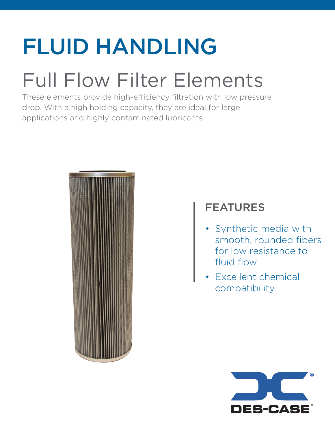## FLUID HANDLING

### Full Flow Filter Elements

These elements provide high-efficiency filtration with low pressure drop. With a high holding capacity, they are ideal for large applications and highly contaminated lubricants.



### FEATURES

- Synthetic media with smooth, rounded fibers for low resistance to fluid flow
- Excellent chemical compatibility

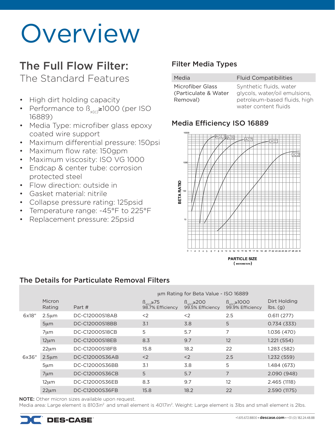## **Overview**

### The Full Flow Filter:

The Standard Features

- High dirt holding capacity
- Performance to  $\beta_{\text{vco}}$ ≥1000 (per ISO 16889)
- Media Type: microfiber glass epoxy coated wire support
- Maximum differential pressure: 150psi
- Maximum flow rate: 150gpm
- Maximum viscosity: ISO VG 1000
- Endcap & center tube: corrosion protected steel
- Flow direction: outside in
- Gasket material: nitrile
- Collapse pressure rating: 125psid
- Temperature range: -45°F to 225°F
- Replacement pressure: 25psid

#### Filter Media Types

| 1edia            |  |
|------------------|--|
| 1icrofihar Glacc |  |

Media **Fluid Compatibilities** 

Microfiber Glass (Particulate & Water Removal)

Synthetic fluids, water glycols, water/oil emulsions, petroleum-based fluids, high water content fluids

#### Media Efficiency ISO 16889



#### The Details for Particulate Removal Filters

|       |                  | um Rating for Beta Value - ISO 16889 |                                           |                                            |                                             |                                             |
|-------|------------------|--------------------------------------|-------------------------------------------|--------------------------------------------|---------------------------------------------|---------------------------------------------|
|       | Micron<br>Rating | Part #                               | $\beta_{X(c)} \ge 75$<br>98.7% Efficiency | $\beta_{x(c)} \ge 200$<br>99.5% Efficiency | $\beta_{x(c)} \ge 1000$<br>99.9% Efficiency | Dirt Holding<br>$\mathsf{lbs.}\mathsf{(g)}$ |
| 6x18" | $2.5 \mu m$      | DC-C12000S18AB                       | <                                         | $<$ 2                                      | 2.5                                         | 0.611(277)                                  |
|       | $5 \mu m$        | DC-C12000S18BB                       | 3.1                                       | 3.8                                        | 5                                           | 0.734(333)                                  |
|       | $7 \mu m$        | DC-C12000S18CB                       | 5                                         | 5.7                                        | 7                                           | 1.036 (470)                                 |
|       | $12 \mu m$       | DC-C12000S18EB                       | 8.3                                       | 9.7                                        | 12                                          | 1.221(554)                                  |
|       | $22 \mu m$       | DC-C12000S18FB                       | 15.8                                      | 18.2                                       | 22                                          | 1.283 (582)                                 |
| 6x36" | $2.5 \mu m$      | DC-C12000S36AB                       | $<$ 2                                     | $<$ 2                                      | 2.5                                         | 1.232(559)                                  |
|       | $5 \mu m$        | DC-C12000S36BB                       | 3.1                                       | 3.8                                        | 5                                           | 1.484 (673)                                 |
|       | $7 \mu m$        | DC-C12000S36CB                       | 5                                         | 5.7                                        | 7                                           | 2.090 (948)                                 |
|       | $12 \mu m$       | DC-C12000S36EB                       | 8.3                                       | 9.7                                        | 12                                          | 2.465 (1118)                                |
|       | $22 \mu m$       | DC-C12000S36FB                       | 15.8                                      | 18.2                                       | 22                                          | 2.590 (1175)                                |

NOTE: Other micron sizes available upon request.

Media area: Large element is 8103in<sup>2</sup> and small element is 4017in<sup>2</sup>. Weight: Large element is 3lbs and small element is 2lbs.